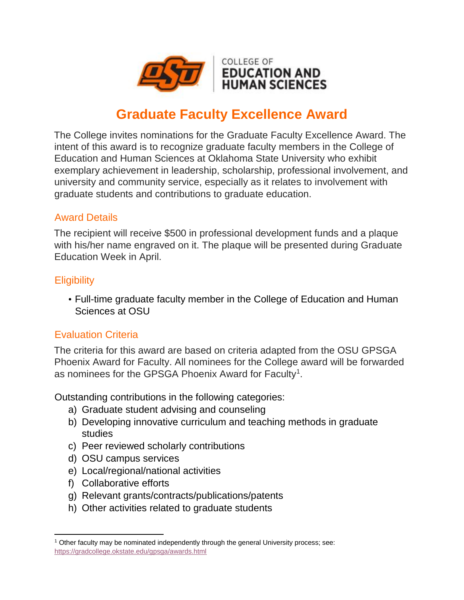

# **Graduate Faculty Excellence Award**

The College invites nominations for the Graduate Faculty Excellence Award. The intent of this award is to recognize graduate faculty members in the College of Education and Human Sciences at Oklahoma State University who exhibit exemplary achievement in leadership, scholarship, professional involvement, and university and community service, especially as it relates to involvement with graduate students and contributions to graduate education.

## Award Details

The recipient will receive \$500 in professional development funds and a plaque with his/her name engraved on it. The plaque will be presented during Graduate Education Week in April.

## **Eligibility**

 $\overline{\phantom{a}}$ 

• Full-time graduate faculty member in the College of Education and Human Sciences at OSU

## Evaluation Criteria

The criteria for this award are based on criteria adapted from the OSU GPSGA Phoenix Award for Faculty. All nominees for the College award will be forwarded as nominees for the GPSGA Phoenix Award for Faculty<sup>1</sup>.

Outstanding contributions in the following categories:

- a) Graduate student advising and counseling
- b) Developing innovative curriculum and teaching methods in graduate studies
- c) Peer reviewed scholarly contributions
- d) OSU campus services
- e) Local/regional/national activities
- f) Collaborative efforts
- g) Relevant grants/contracts/publications/patents
- h) Other activities related to graduate students

<sup>1</sup> Other faculty may be nominated independently through the general University process; see: <https://gradcollege.okstate.edu/gpsga/awards.html>